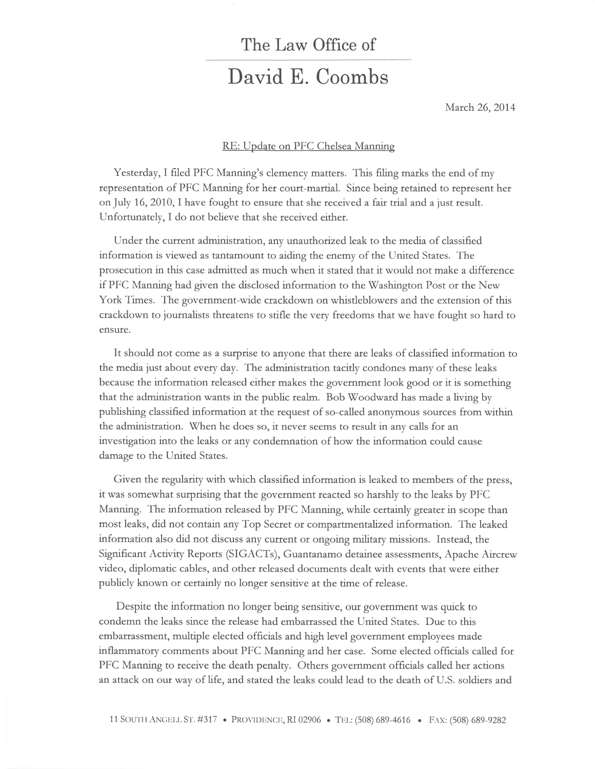## The Law Office of David E. Coombs

March 26,2014

## RE: Update on PFC Chelsea Manning

Yesterday, I filed PFC Manning's clemency matters. This filing marks the end of my teptesentation of PFC Manning fot het coutt-mattial. Since being tetained to teptesent het on July 16, 2010, I have fought to ensure that she received a fair trial and a just result. Unfortunately, I do not believe that she received either.

Under the current administration, any unauthorized leak to the media of classified information is viewed as tantamount to aiding the enemy of the United States. The prosecution in this case admitted as much when it stated that it would not make a difference if PFC Manning had given the disclosed infotmation to the Washington Post or the New York Times. The government-wide crackdown on whisdeblowers and the extension of this crackdown to journalists threatens to stifle the very freedoms that we have fought so hard to ensure.

It should not come as a surprise to anyone that there are leaks of classified information to the media just about every day. The administration tacidy condones many of these leaks because the information teleased either makes the govemment look good or it is something that the administration wants in the public tealm. Bob Woodward has made a living by publishing classified information at the request of so-called anonymous sources from within the administration. When he does so, it never seems to result in any calls for an investigation into the leaks or any condemnation of how the information could cause damage to the United States.

Given the regularity with which classified information is leaked to members of the press, it was somewhat surprising that the govemment reacted so harshly to the leaks by PFC Manning. The information released by PFC Manning, while certainly greater in scope than most leaks, did not contain any Top Secret or compartmentahzed information. The leaked information also did not discuss any current or ongoing military missions. Instead, the Significant Activity Reports (SIGACTs), Guantanamo detainee assessments, Apache Aircrew video, diplomatic cables, and other released documents dealt with events that were either publicly known ot cettainly no longer sensitive at the time of release.

Despite the infotmation no longer being sensitive, our government was quick to condemn the leaks since the release had embarrassed the United States. Due to this embatrassment, multiple elected officials and high level government employees made inflammatory comments about PFC Manning and her case. Some elected officials called fot PFC Manning to receive the death penalty. Others government officials called her actions an attack on our way of life, and stated the leaks could lead to the death of U.S. soldiers and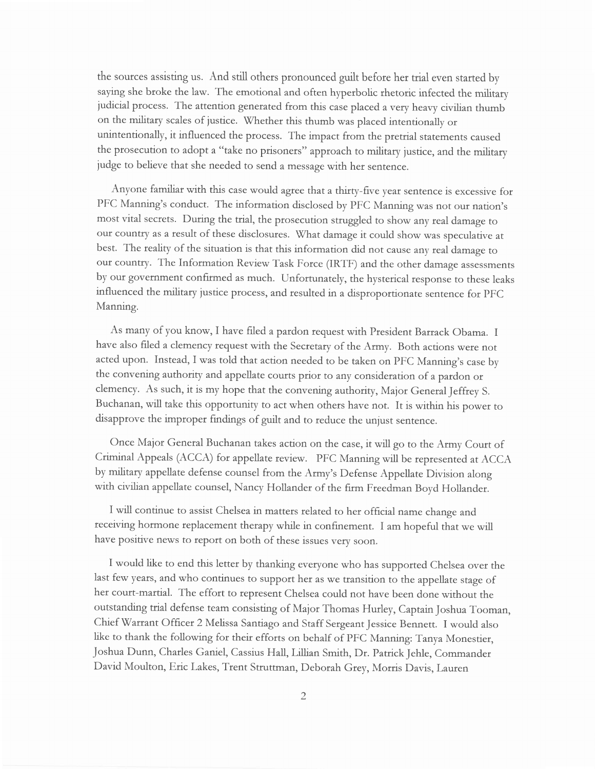the sources assisting us. And still others pronounced guilt before her trial even started by saying she broke the law. The emotional and often hyperbolic rhetoric infected the military judicial process. The attention generated from this case placed a very heavy civilian thumb on the miJitary scales of justice. Whether this thumb was placed intentionally or unintentionally, it influenced the process. The impact from the preftial statements caused the prosecution to adopt a "take no prisoners" approach to military justice, and the military judge to believe that she needed to send a message with her sentence.

Anyone familiar with this case would agree that a thirty-five year sentence is excessive for PFC Manning's conduct. The information disclosed by PFC Manning was not our nation's most vital secrets. During the trial, the prosecution struggled to show any real damage to our country as a result of these disclosures. What damage it could show was speculative at best. The reality of the situation is that this information did not cause any real damage to out country. The Information Review Task Force (IRTF) and the other damage assessments by our government confirmed as much. Unfortunately, the hysterical response to these leaks influenced the military justice process, and resulted in a disproportionate sentence for PFC Manning.

As many of you know, I have filed a pardon request with President Barack Obama. I have also filed a clemency request with the Secretary of the Army. Both actions were not acted upon. Instead, I was told that action needed to be taken on PFC Manning's case by the convening authority and appellate courts prior to any consideratton of a pardon or clemency. As such, it is my hope that the convening authority, Major General Jeffrey S. Buchanan, will take this opportunity to act when others have not. It is within his power ro disapprove the improper findings of guilt and to reduce the unjust sentence.

Once Maior General Buchanan takes action on the case, it will go to the Army Court of Criminal Appeals (ACCA) for appellate review. PFC Manning will be represented at ACCA by military appellate defense counsel ftom the Army's Defense Appellate Division along with civilian appellate counsel, Nancy Hollander of the firm Freedman Boyd Hollander.

I will continue to assist Chelsea in matters related to her official name change and teceiving hotmone replacement therapy while in confinement. I am hopeful that we will have positive news to report on both of these issues very soon.

I would like to end this letter by thanking everyone who has supported Chelsea over the last few years, and who continues to support her as we transition to the appellate stage of her court-martial. The effort to represent Chelsea could not have been done without the outstanding trial defense team consisting of Major Thomas Hurley, Captain Joshua Tooman, Chief Warrant Officer 2 Melissa Santiago and Staff Sergeant Jessice Bennett. I would also like to thank the following for their efforts on behalf of PFC Manning: Tanya Monestier, Joshua Dunn, Charles Ganiel, Cassius Hall, Lillian Smith, Dr. Patrick Jehle, Commander David Moulton, Eric Lakes, Trent Struttman, Deborah Grey, Morris Davis, Lauren